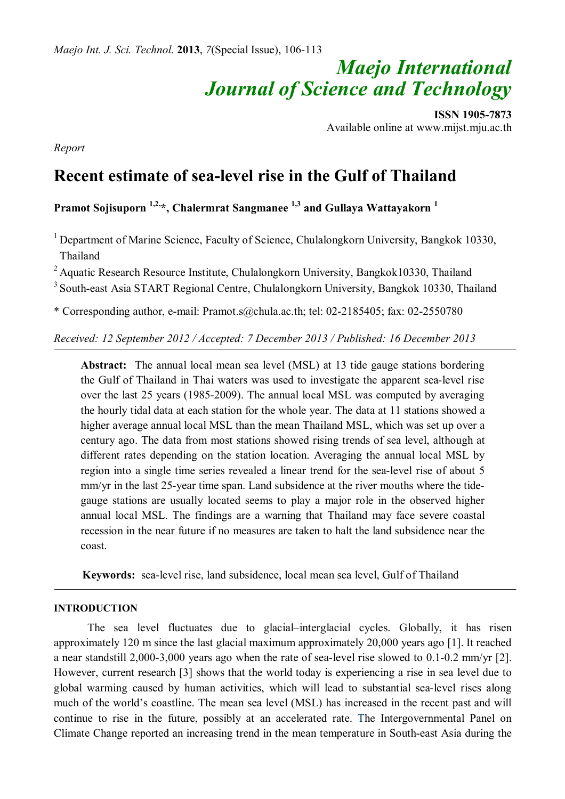# *Maejo International Journal of Science and Technology*

**ISSN 1905-7873** Available online at www.mijst.mju.ac.th

*Report* 

# **Recent estimate of sea-level rise in the Gulf of Thailand**

**Pramot Sojisuporn 1,2,\*, Chalermrat Sangmanee 1,3 and Gullaya Wattayakorn <sup>1</sup>**

<sup>1</sup> Department of Marine Science, Faculty of Science, Chulalongkorn University, Bangkok 10330, Thailand

 $2$  Aquatic Research Resource Institute, Chulalongkorn University, Bangkok10330, Thailand

<sup>3</sup> South-east Asia START Regional Centre, Chulalongkorn University, Bangkok 10330, Thailand

\* Corresponding author, e-mail: Pramot.s@chula.ac.th; tel: 02-2185405; fax: 02-2550780

*Received: 12 September 2012 / Accepted: 7 December 2013 / Published: 16 December 2013*

**Abstract:** The annual local mean sea level (MSL) at 13 tide gauge stations bordering the Gulf of Thailand in Thai waters was used to investigate the apparent sea-level rise over the last 25 years (1985-2009). The annual local MSL was computed by averaging the hourly tidal data at each station for the whole year. The data at 11 stations showed a higher average annual local MSL than the mean Thailand MSL, which was set up over a century ago. The data from most stations showed rising trends of sea level, although at different rates depending on the station location. Averaging the annual local MSL by region into a single time series revealed a linear trend for the sea-level rise of about 5 mm/yr in the last 25-year time span. Land subsidence at the river mouths where the tidegauge stations are usually located seems to play a major role in the observed higher annual local MSL. The findings are a warning that Thailand may face severe coastal recession in the near future if no measures are taken to halt the land subsidence near the coast.

 **Keywords:** sea-level rise, land subsidence, local mean sea level, Gulf of Thailand

# **INTRODUCTION**

The sea level fluctuates due to glacial–interglacial cycles. Globally, it has risen approximately 120 m since the last glacial maximum approximately 20,000 years ago [1]. It reached a near standstill 2,000-3,000 years ago when the rate of sea-level rise slowed to 0.1-0.2 mm/yr [2]. However, current research [3] shows that the world today is experiencing a rise in sea level due to global warming caused by human activities, which will lead to substantial sea-level rises along much of the world's coastline. The mean sea level (MSL) has increased in the recent past and will continue to rise in the future, possibly at an accelerated rate. The Intergovernmental Panel on Climate Change reported an increasing trend in the mean temperature in South-east Asia during the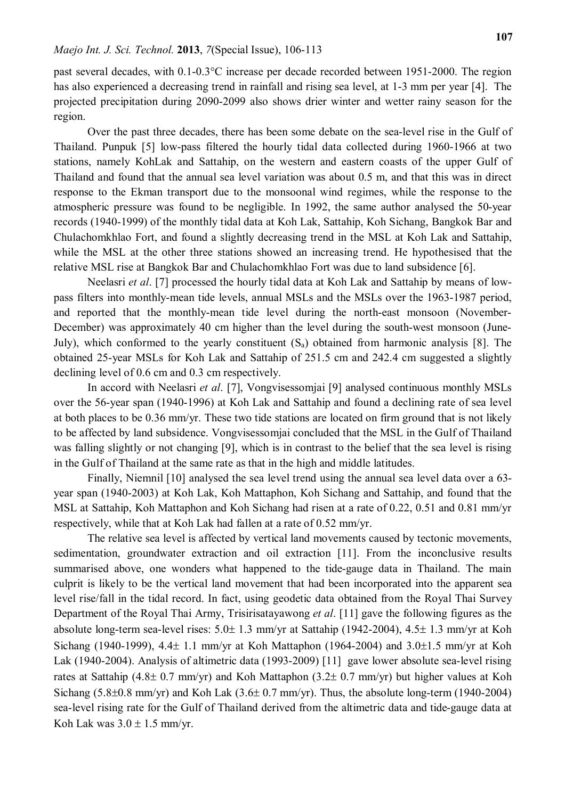past several decades, with 0.1-0.3°C increase per decade recorded between 1951-2000. The region has also experienced a decreasing trend in rainfall and rising sea level, at 1-3 mm per year [4]. The projected precipitation during 2090-2099 also shows drier winter and wetter rainy season for the region.

Over the past three decades, there has been some debate on the sea-level rise in the Gulf of Thailand. Punpuk [5] low-pass filtered the hourly tidal data collected during 1960-1966 at two stations, namely KohLak and Sattahip, on the western and eastern coasts of the upper Gulf of Thailand and found that the annual sea level variation was about 0.5 m, and that this was in direct response to the Ekman transport due to the monsoonal wind regimes, while the response to the atmospheric pressure was found to be negligible. In 1992, the same author analysed the 50-year records (1940-1999) of the monthly tidal data at Koh Lak, Sattahip, Koh Sichang, Bangkok Bar and Chulachomkhlao Fort, and found a slightly decreasing trend in the MSL at Koh Lak and Sattahip, while the MSL at the other three stations showed an increasing trend. He hypothesised that the relative MSL rise at Bangkok Bar and Chulachomkhlao Fort was due to land subsidence [6].

Neelasri *et al*. [7] processed the hourly tidal data at Koh Lak and Sattahip by means of lowpass filters into monthly-mean tide levels, annual MSLs and the MSLs over the 1963-1987 period, and reported that the monthly-mean tide level during the north-east monsoon (November-December) was approximately 40 cm higher than the level during the south-west monsoon (June-July), which conformed to the yearly constituent  $(S_a)$  obtained from harmonic analysis [8]. The obtained 25-year MSLs for Koh Lak and Sattahip of 251.5 cm and 242.4 cm suggested a slightly declining level of 0.6 cm and 0.3 cm respectively.

In accord with Neelasri *et al*. [7], Vongvisessomjai [9] analysed continuous monthly MSLs over the 56-year span (1940-1996) at Koh Lak and Sattahip and found a declining rate of sea level at both places to be 0.36 mm/yr. These two tide stations are located on firm ground that is not likely to be affected by land subsidence. Vongvisessomjai concluded that the MSL in the Gulf of Thailand was falling slightly or not changing [9], which is in contrast to the belief that the sea level is rising in the Gulf of Thailand at the same rate as that in the high and middle latitudes.

Finally, Niemnil [10] analysed the sea level trend using the annual sea level data over a 63 year span (1940-2003) at Koh Lak, Koh Mattaphon, Koh Sichang and Sattahip, and found that the MSL at Sattahip, Koh Mattaphon and Koh Sichang had risen at a rate of 0.22, 0.51 and 0.81 mm/yr respectively, while that at Koh Lak had fallen at a rate of 0.52 mm/yr.

The relative sea level is affected by vertical land movements caused by tectonic movements, sedimentation, groundwater extraction and oil extraction [11]. From the inconclusive results summarised above, one wonders what happened to the tide-gauge data in Thailand. The main culprit is likely to be the vertical land movement that had been incorporated into the apparent sea level rise/fall in the tidal record. In fact, using geodetic data obtained from the Royal Thai Survey Department of the Royal Thai Army, Trisirisatayawong *et al*. [11] gave the following figures as the absolute long-term sea-level rises:  $5.0 \pm 1.3$  mm/yr at Sattahip (1942-2004),  $4.5 \pm 1.3$  mm/yr at Koh Sichang (1940-1999),  $4.4 \pm 1.1$  mm/yr at Koh Mattaphon (1964-2004) and  $3.0 \pm 1.5$  mm/yr at Koh Lak (1940-2004). Analysis of altimetric data (1993-2009) [11] gave lower absolute sea-level rising rates at Sattahip (4.8 $\pm$  0.7 mm/yr) and Koh Mattaphon (3.2 $\pm$  0.7 mm/yr) but higher values at Koh Sichang (5.8 $\pm$ 0.8 mm/yr) and Koh Lak (3.6 $\pm$  0.7 mm/yr). Thus, the absolute long-term (1940-2004) sea-level rising rate for the Gulf of Thailand derived from the altimetric data and tide-gauge data at Koh Lak was  $3.0 \pm 1.5$  mm/vr.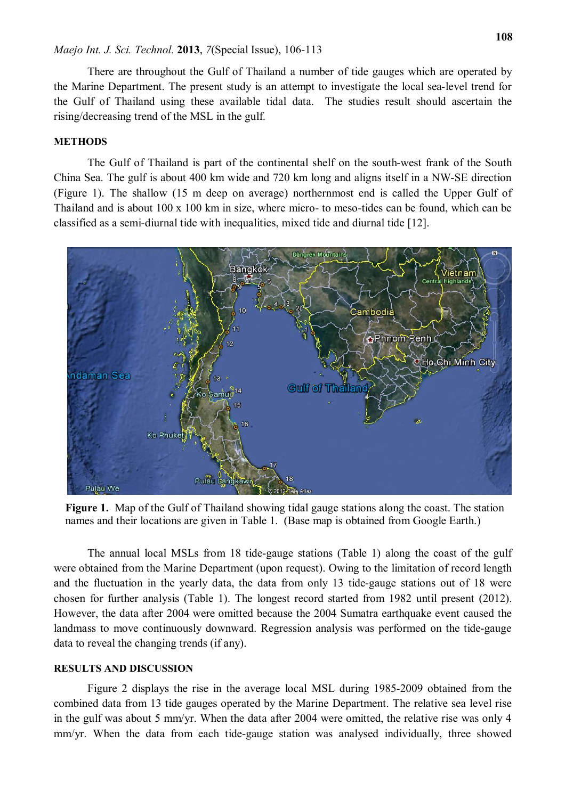#### *Maejo Int. J. Sci. Technol.* **2013**, *7*(Special Issue), 106-113

There are throughout the Gulf of Thailand a number of tide gauges which are operated by the Marine Department. The present study is an attempt to investigate the local sea-level trend for the Gulf of Thailand using these available tidal data. The studies result should ascertain the rising/decreasing trend of the MSL in the gulf.

# **METHODS**

The Gulf of Thailand is part of the continental shelf on the south-west frank of the South China Sea. The gulf is about 400 km wide and 720 km long and aligns itself in a NW-SE direction (Figure 1). The shallow (15 m deep on average) northernmost end is called the Upper Gulf of Thailand and is about 100 x 100 km in size, where micro- to meso-tides can be found, which can be classified as a semi-diurnal tide with inequalities, mixed tide and diurnal tide [12].



 **Figure 1.** Map of the Gulf of Thailand showing tidal gauge stations along the coast. The station names and their locations are given in Table 1. (Base map is obtained from Google Earth.)

The annual local MSLs from 18 tide-gauge stations (Table 1) along the coast of the gulf were obtained from the Marine Department (upon request). Owing to the limitation of record length and the fluctuation in the yearly data, the data from only 13 tide-gauge stations out of 18 were chosen for further analysis (Table 1). The longest record started from 1982 until present (2012). However, the data after 2004 were omitted because the 2004 Sumatra earthquake event caused the landmass to move continuously downward. Regression analysis was performed on the tide-gauge data to reveal the changing trends (if any).

#### **RESULTS AND DISCUSSION**

Figure 2 displays the rise in the average local MSL during 1985-2009 obtained from the combined data from 13 tide gauges operated by the Marine Department. The relative sea level rise in the gulf was about 5 mm/yr. When the data after 2004 were omitted, the relative rise was only 4 mm/yr. When the data from each tide-gauge station was analysed individually, three showed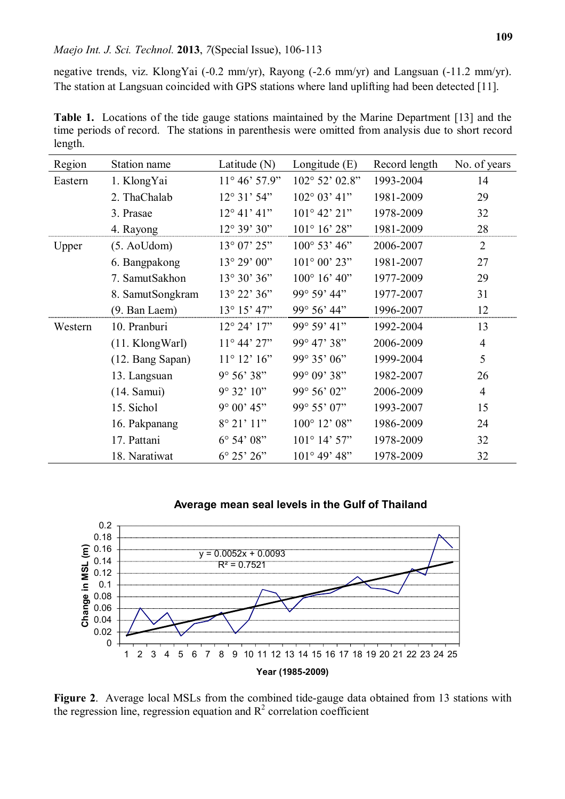negative trends, viz. KlongYai (-0.2 mm/yr), Rayong (-2.6 mm/yr) and Langsuan (-11.2 mm/yr). The station at Langsuan coincided with GPS stations where land uplifting had been detected [11].

**Table 1.** Locations of the tide gauge stations maintained by the Marine Department [13] and the time periods of record. The stations in parenthesis were omitted from analysis due to short record length.

| Region  | Station name       | Latitude $(N)$         | Longitude $(E)$         | Record length | No. of years   |
|---------|--------------------|------------------------|-------------------------|---------------|----------------|
| Eastern | 1. KlongYai        | $11^{\circ} 46' 57.9"$ | $102^{\circ} 52' 02.8"$ | 1993-2004     | 14             |
|         | 2. ThaChalab       | $12^{\circ}31'54"$     | $102^{\circ} 03' 41"$   | 1981-2009     | 29             |
|         | 3. Prasae          | $12^{\circ} 41' 41''$  | $101^{\circ}$ 42' 21"   | 1978-2009     | 32             |
|         | 4. Rayong          | $12^{\circ} 39' 30"$   | $101^{\circ} 16' 28"$   | 1981-2009     | 28             |
| Upper   | $(5.$ AoUdom $)$   | $13^{\circ}$ 07' $25"$ | $100^{\circ}$ 53' 46"   | 2006-2007     | $\overline{2}$ |
|         | 6. Bangpakong      | 13° 29' 00"            | $101^{\circ} 00' 23"$   | 1981-2007     | 27             |
|         | 7. SamutSakhon     | 13° 30' 36"            | $100^{\circ}$ 16' 40"   | 1977-2009     | 29             |
|         | 8. SamutSongkram   | $13^{\circ} 22' 36''$  | 99° 59' 44"             | 1977-2007     | 31             |
|         | (9. Ban Laem)      | $13^{\circ} 15' 47"$   | 99° 56' 44"             | 1996-2007     | 12             |
| Western | 10. Pranburi       | $12^{\circ} 24' 17"$   | 99° 59' 41"             | 1992-2004     | 13             |
|         | $(11.$ Klong Warl) | $11^{\circ} 44' 27"$   | 99° 47' 38"             | 2006-2009     | $\overline{4}$ |
|         | (12. Bang Sapan)   | $11^{\circ} 12' 16''$  | 99° 35' 06"             | 1999-2004     | 5              |
|         | 13. Langsuan       | $9^{\circ} 56' 38"$    | 99° 09' 38"             | 1982-2007     | 26             |
|         | (14. Samui)        | $9^{\circ} 32' 10''$   | 99° 56' 02"             | 2006-2009     | $\overline{4}$ |
|         | 15. Sichol         | $9^{\circ} 00' 45"$    | 99° 55' 07"             | 1993-2007     | 15             |
|         | 16. Pakpanang      | 8° 21' 11"             | $100^{\circ}$ 12' 08"   | 1986-2009     | 24             |
|         | 17. Pattani        | $6^{\circ}$ 54' $08"$  | $101^{\circ}$ 14' 57"   | 1978-2009     | 32             |
|         | 18. Naratiwat      | $6^{\circ} 25' 26"$    | $101^{\circ}$ 49' 48"   | 1978-2009     | 32             |

## **Average mean seal levels in the Gulf of Thailand**



**Figure 2**. Average local MSLs from the combined tide-gauge data obtained from 13 stations with the regression line, regression equation and  $R^2$  correlation coefficient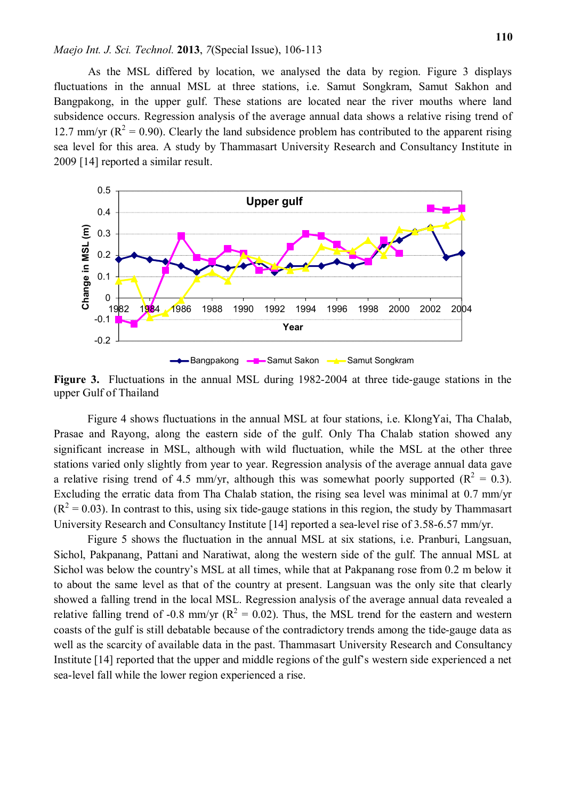#### *Maejo Int. J. Sci. Technol.* **2013**, *7*(Special Issue), 106-113

As the MSL differed by location, we analysed the data by region. Figure 3 displays fluctuations in the annual MSL at three stations, i.e. Samut Songkram, Samut Sakhon and Bangpakong, in the upper gulf. These stations are located near the river mouths where land subsidence occurs. Regression analysis of the average annual data shows a relative rising trend of 12.7 mm/yr ( $R^2 = 0.90$ ). Clearly the land subsidence problem has contributed to the apparent rising sea level for this area. A study by Thammasart University Research and Consultancy Institute in 2009 [14] reported a similar result.



**Figure 3.** Fluctuations in the annual MSL during 1982-2004 at three tide-gauge stations in the upper Gulf of Thailand

Figure 4 shows fluctuations in the annual MSL at four stations, i.e. KlongYai, Tha Chalab, Prasae and Rayong, along the eastern side of the gulf. Only Tha Chalab station showed any significant increase in MSL, although with wild fluctuation, while the MSL at the other three stations varied only slightly from year to year. Regression analysis of the average annual data gave a relative rising trend of 4.5 mm/yr, although this was somewhat poorly supported ( $R^2 = 0.3$ ). Excluding the erratic data from Tha Chalab station, the rising sea level was minimal at 0.7 mm/yr  $(R<sup>2</sup> = 0.03)$ . In contrast to this, using six tide-gauge stations in this region, the study by Thammasart University Research and Consultancy Institute [14] reported a sea-level rise of 3.58-6.57 mm/yr.

Figure 5 shows the fluctuation in the annual MSL at six stations, i.e. Pranburi, Langsuan, Sichol, Pakpanang, Pattani and Naratiwat, along the western side of the gulf. The annual MSL at Sichol was below the country's MSL at all times, while that at Pakpanang rose from 0.2 m below it to about the same level as that of the country at present. Langsuan was the only site that clearly showed a falling trend in the local MSL. Regression analysis of the average annual data revealed a relative falling trend of -0.8 mm/yr ( $R^2 = 0.02$ ). Thus, the MSL trend for the eastern and western coasts of the gulf is still debatable because of the contradictory trends among the tide-gauge data as well as the scarcity of available data in the past. Thammasart University Research and Consultancy Institute [14] reported that the upper and middle regions of the gulf's western side experienced a net sea-level fall while the lower region experienced a rise.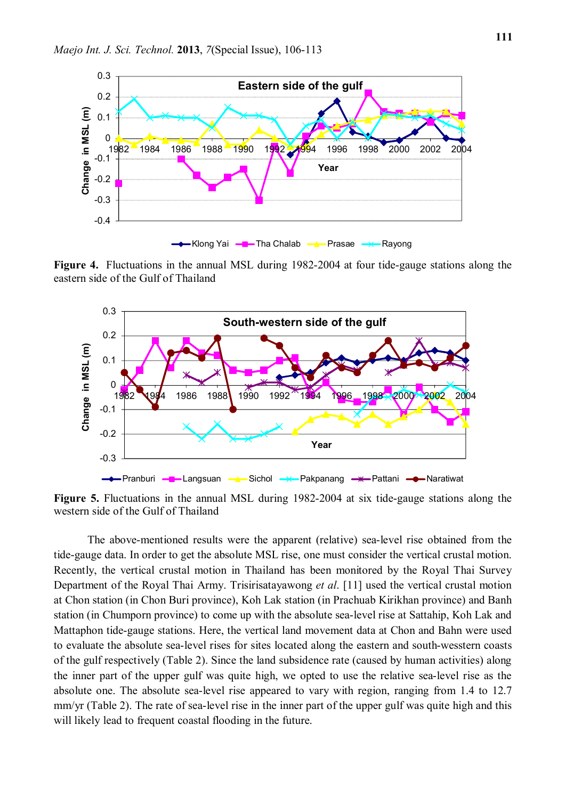

**Figure 4.** Fluctuations in the annual MSL during 1982-2004 at four tide-gauge stations along the eastern side of the Gulf of Thailand



**Figure 5.** Fluctuations in the annual MSL during 1982-2004 at six tide-gauge stations along the western side of the Gulf of Thailand

The above-mentioned results were the apparent (relative) sea-level rise obtained from the tide-gauge data. In order to get the absolute MSL rise, one must consider the vertical crustal motion. Recently, the vertical crustal motion in Thailand has been monitored by the Royal Thai Survey Department of the Royal Thai Army. Trisirisatayawong *et al*. [11] used the vertical crustal motion at Chon station (in Chon Buri province), Koh Lak station (in Prachuab Kirikhan province) and Banh station (in Chumporn province) to come up with the absolute sea-level rise at Sattahip, Koh Lak and Mattaphon tide-gauge stations. Here, the vertical land movement data at Chon and Bahn were used to evaluate the absolute sea-level rises for sites located along the eastern and south-wesstern coasts of the gulf respectively (Table 2). Since the land subsidence rate (caused by human activities) along the inner part of the upper gulf was quite high, we opted to use the relative sea-level rise as the absolute one. The absolute sea-level rise appeared to vary with region, ranging from 1.4 to 12.7 mm/yr (Table 2). The rate of sea-level rise in the inner part of the upper gulf was quite high and this will likely lead to frequent coastal flooding in the future.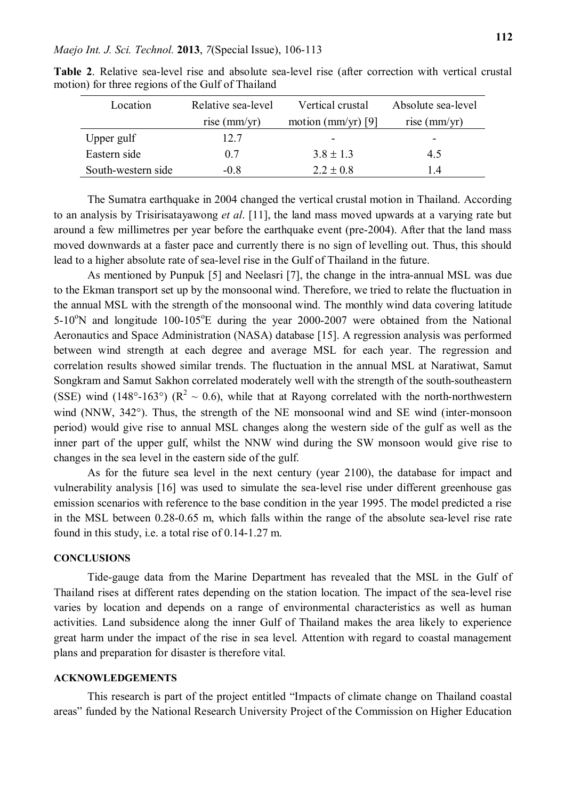| Location           | Relative sea-level    | Vertical crustal   | Absolute sea-level    |
|--------------------|-----------------------|--------------------|-----------------------|
|                    | rise $\text{(mm/yr)}$ | motion (mm/yr) [9] | rise $\text{(mm/yr)}$ |
| Upper gulf         | 12.7                  | -                  | -                     |
| Eastern side       | 0.7                   | $3.8 \pm 1.3$      | 4.5                   |
| South-western side | $-0.8$                | $2.2 \pm 0.8$      | ı4                    |

**Table 2**. Relative sea-level rise and absolute sea-level rise (after correction with vertical crustal motion) for three regions of the Gulf of Thailand

The Sumatra earthquake in 2004 changed the vertical crustal motion in Thailand. According to an analysis by Trisirisatayawong *et al*. [11], the land mass moved upwards at a varying rate but around a few millimetres per year before the earthquake event (pre-2004). After that the land mass moved downwards at a faster pace and currently there is no sign of levelling out. Thus, this should lead to a higher absolute rate of sea-level rise in the Gulf of Thailand in the future.

As mentioned by Punpuk [5] and Neelasri [7], the change in the intra-annual MSL was due to the Ekman transport set up by the monsoonal wind. Therefore, we tried to relate the fluctuation in the annual MSL with the strength of the monsoonal wind. The monthly wind data covering latitude  $5-10^{\circ}$ N and longitude  $100-105^{\circ}$ E during the year 2000-2007 were obtained from the National Aeronautics and Space Administration (NASA) database [15]. A regression analysis was performed between wind strength at each degree and average MSL for each year. The regression and correlation results showed similar trends. The fluctuation in the annual MSL at Naratiwat, Samut Songkram and Samut Sakhon correlated moderately well with the strength of the south-southeastern (SSE) wind (148°-163°) ( $\mathbb{R}^2 \sim 0.6$ ), while that at Rayong correlated with the north-northwestern wind (NNW, 342°). Thus, the strength of the NE monsoonal wind and SE wind (inter-monsoon period) would give rise to annual MSL changes along the western side of the gulf as well as the inner part of the upper gulf, whilst the NNW wind during the SW monsoon would give rise to changes in the sea level in the eastern side of the gulf.

As for the future sea level in the next century (year 2100), the database for impact and vulnerability analysis [16] was used to simulate the sea-level rise under different greenhouse gas emission scenarios with reference to the base condition in the year 1995. The model predicted a rise in the MSL between 0.28-0.65 m, which falls within the range of the absolute sea-level rise rate found in this study, i.e. a total rise of 0.14-1.27 m.

### **CONCLUSIONS**

Tide-gauge data from the Marine Department has revealed that the MSL in the Gulf of Thailand rises at different rates depending on the station location. The impact of the sea-level rise varies by location and depends on a range of environmental characteristics as well as human activities. Land subsidence along the inner Gulf of Thailand makes the area likely to experience great harm under the impact of the rise in sea level. Attention with regard to coastal management plans and preparation for disaster is therefore vital.

#### **ACKNOWLEDGEMENTS**

This research is part of the project entitled "Impacts of climate change on Thailand coastal areas" funded by the National Research University Project of the Commission on Higher Education